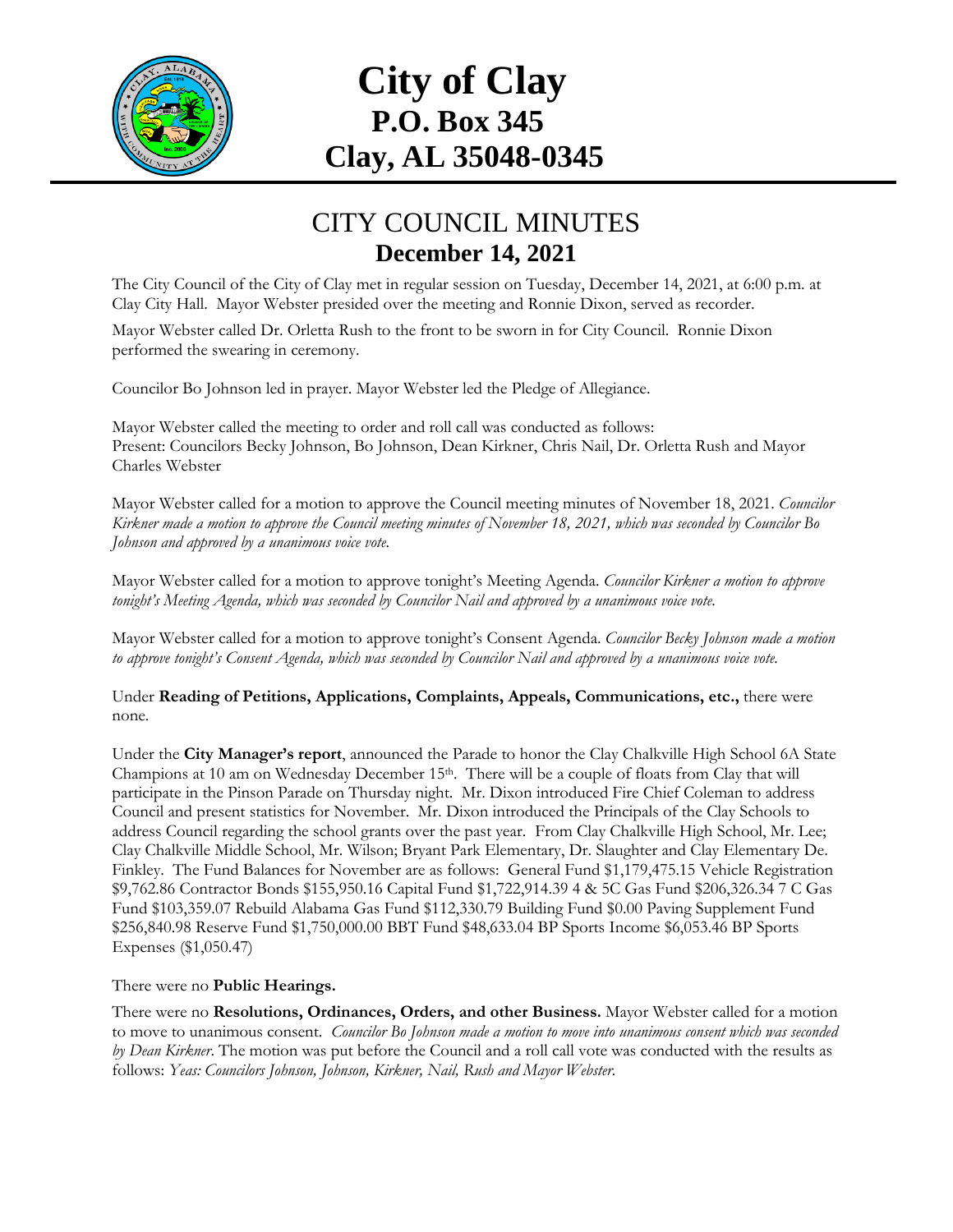

# **City of Clay P.O. Box 345 Clay, AL 35048-0345**

### CITY COUNCIL MINUTES **December 14, 2021**

The City Council of the City of Clay met in regular session on Tuesday, December 14, 2021, at 6:00 p.m. at Clay City Hall. Mayor Webster presided over the meeting and Ronnie Dixon, served as recorder.

Mayor Webster called Dr. Orletta Rush to the front to be sworn in for City Council. Ronnie Dixon performed the swearing in ceremony.

Councilor Bo Johnson led in prayer. Mayor Webster led the Pledge of Allegiance.

Mayor Webster called the meeting to order and roll call was conducted as follows: Present: Councilors Becky Johnson, Bo Johnson, Dean Kirkner, Chris Nail, Dr. Orletta Rush and Mayor Charles Webster

Mayor Webster called for a motion to approve the Council meeting minutes of November 18, 2021. *Councilor Kirkner made a motion to approve the Council meeting minutes of November 18, 2021, which was seconded by Councilor Bo Johnson and approved by a unanimous voice vote.*

Mayor Webster called for a motion to approve tonight's Meeting Agenda. *Councilor Kirkner a motion to approve tonight's Meeting Agenda, which was seconded by Councilor Nail and approved by a unanimous voice vote.*

Mayor Webster called for a motion to approve tonight's Consent Agenda. *Councilor Becky Johnson made a motion to approve tonight's Consent Agenda, which was seconded by Councilor Nail and approved by a unanimous voice vote.*

Under **Reading of Petitions, Applications, Complaints, Appeals, Communications, etc.,** there were none*.*

Under the **City Manager's report**, announced the Parade to honor the Clay Chalkville High School 6A State Champions at 10 am on Wednesday December 15<sup>th</sup>. There will be a couple of floats from Clay that will participate in the Pinson Parade on Thursday night. Mr. Dixon introduced Fire Chief Coleman to address Council and present statistics for November. Mr. Dixon introduced the Principals of the Clay Schools to address Council regarding the school grants over the past year. From Clay Chalkville High School, Mr. Lee; Clay Chalkville Middle School, Mr. Wilson; Bryant Park Elementary, Dr. Slaughter and Clay Elementary De. Finkley. The Fund Balances for November are as follows: General Fund \$1,179,475.15 Vehicle Registration \$9,762.86 Contractor Bonds \$155,950.16 Capital Fund \$1,722,914.39 4 & 5C Gas Fund \$206,326.34 7 C Gas Fund \$103,359.07 Rebuild Alabama Gas Fund \$112,330.79 Building Fund \$0.00 Paving Supplement Fund \$256,840.98 Reserve Fund \$1,750,000.00 BBT Fund \$48,633.04 BP Sports Income \$6,053.46 BP Sports Expenses (\$1,050.47)

#### There were no **Public Hearings.**

There were no **Resolutions, Ordinances, Orders, and other Business.** Mayor Webster called for a motion to move to unanimous consent. *Councilor Bo Johnson made a motion to move into unanimous consent which was seconded by Dean Kirkner*. The motion was put before the Council and a roll call vote was conducted with the results as follows: *Yeas: Councilors Johnson, Johnson, Kirkner, Nail, Rush and Mayor Webster.*